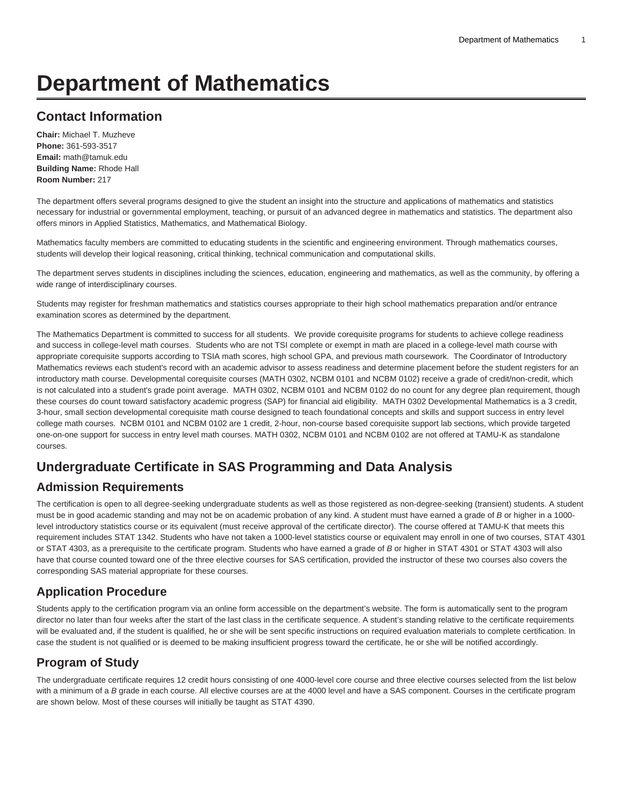# **Department of Mathematics**

# **Contact Information**

**Chair:** Michael T. Muzheve **Phone:** 361-593-3517 **Email:** [math@tamuk.edu](mailto:math@tamuk.edu) **Building Name:** Rhode Hall **Room Number:** 217

The department offers several programs designed to give the student an insight into the structure and applications of mathematics and statistics necessary for industrial or governmental employment, teaching, or pursuit of an advanced degree in mathematics and statistics. The department also offers minors in Applied Statistics, Mathematics, and Mathematical Biology.

Mathematics faculty members are committed to educating students in the scientific and engineering environment. Through mathematics courses, students will develop their logical reasoning, critical thinking, technical communication and computational skills.

The department serves students in disciplines including the sciences, education, engineering and mathematics, as well as the community, by offering a wide range of interdisciplinary courses.

Students may register for freshman mathematics and statistics courses appropriate to their high school mathematics preparation and/or entrance examination scores as determined by the department.

The Mathematics Department is committed to success for all students. We provide corequisite programs for students to achieve college readiness and success in college-level math courses. Students who are not TSI complete or exempt in math are placed in a college-level math course with appropriate corequisite supports according to TSIA math scores, high school GPA, and previous math coursework. The Coordinator of Introductory Mathematics reviews each student's record with an academic advisor to assess readiness and determine placement before the student registers for an introductory math course. Developmental corequisite courses (MATH 0302, NCBM 0101 and NCBM 0102) receive a grade of credit/non-credit, which is not calculated into a student's grade point average. MATH 0302, NCBM 0101 and NCBM 0102 do no count for any degree plan requirement, though these courses do count toward satisfactory academic progress (SAP) for financial aid eligibility. MATH 0302 Developmental Mathematics is a 3 credit, 3-hour, small section developmental corequisite math course designed to teach foundational concepts and skills and support success in entry level college math courses. NCBM 0101 and NCBM 0102 are 1 credit, 2-hour, non-course based corequisite support lab sections, which provide targeted one-on-one support for success in entry level math courses. MATH 0302, NCBM 0101 and NCBM 0102 are not offered at TAMU-K as standalone courses.

# **Undergraduate Certificate in SAS Programming and Data Analysis**

## **Admission Requirements**

The certification is open to all degree-seeking undergraduate students as well as those registered as non-degree-seeking (transient) students. A student must be in good academic standing and may not be on academic probation of any kind. A student must have earned a grade of B or higher in a 1000 level introductory statistics course or its equivalent (must receive approval of the certificate director). The course offered at TAMU-K that meets this requirement includes STAT 1342. Students who have not taken a 1000-level statistics course or equivalent may enroll in one of two courses, STAT 4301 or STAT 4303, as a prerequisite to the certificate program. Students who have earned a grade of B or higher in STAT 4301 or STAT 4303 will also have that course counted toward one of the three elective courses for SAS certification, provided the instructor of these two courses also covers the corresponding SAS material appropriate for these courses.

## **Application Procedure**

Students apply to the certification program via an online form accessible on the department's website. The form is automatically sent to the program director no later than four weeks after the start of the last class in the certificate sequence. A student's standing relative to the certificate requirements will be evaluated and, if the student is qualified, he or she will be sent specific instructions on required evaluation materials to complete certification. In case the student is not qualified or is deemed to be making insufficient progress toward the certificate, he or she will be notified accordingly.

# **Program of Study**

The undergraduate certificate requires 12 credit hours consisting of one 4000-level core course and three elective courses selected from the list below with a minimum of a B grade in each course. All elective courses are at the 4000 level and have a SAS component. Courses in the certificate program are shown below. Most of these courses will initially be taught as STAT 4390.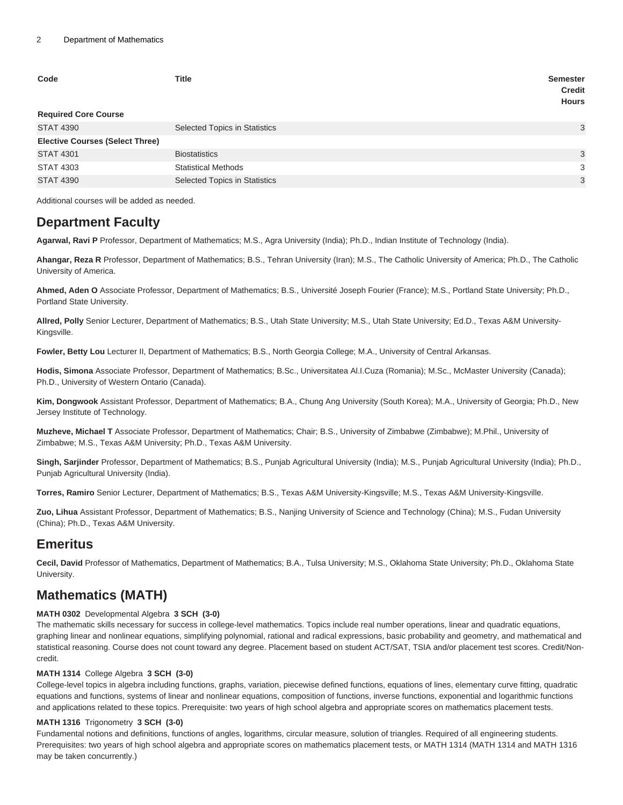| Code<br><b>Required Core Course</b>    | <b>Title</b>                         | <b>Semester</b><br><b>Credit</b><br><b>Hours</b> |
|----------------------------------------|--------------------------------------|--------------------------------------------------|
|                                        |                                      |                                                  |
| <b>STAT 4390</b>                       | Selected Topics in Statistics        | 3                                                |
| <b>Elective Courses (Select Three)</b> |                                      |                                                  |
| <b>STAT 4301</b>                       | <b>Biostatistics</b>                 | 3                                                |
| <b>STAT 4303</b>                       | <b>Statistical Methods</b>           | 3                                                |
| <b>STAT 4390</b>                       | <b>Selected Topics in Statistics</b> | 3                                                |

Additional courses will be added as needed.

## **Department Faculty**

**Agarwal, Ravi P** Professor, Department of Mathematics; M.S., Agra University (India); Ph.D., Indian Institute of Technology (India).

**Ahangar, Reza R** Professor, Department of Mathematics; B.S., Tehran University (Iran); M.S., The Catholic University of America; Ph.D., The Catholic University of America.

**Ahmed, Aden O** Associate Professor, Department of Mathematics; B.S., Université Joseph Fourier (France); M.S., Portland State University; Ph.D., Portland State University.

**Allred, Polly** Senior Lecturer, Department of Mathematics; B.S., Utah State University; M.S., Utah State University; Ed.D., Texas A&M University-Kingsville.

**Fowler, Betty Lou** Lecturer II, Department of Mathematics; B.S., North Georgia College; M.A., University of Central Arkansas.

**Hodis, Simona** Associate Professor, Department of Mathematics; B.Sc., Universitatea Al.I.Cuza (Romania); M.Sc., McMaster University (Canada); Ph.D., University of Western Ontario (Canada).

**Kim, Dongwook** Assistant Professor, Department of Mathematics; B.A., Chung Ang University (South Korea); M.A., University of Georgia; Ph.D., New Jersey Institute of Technology.

**Muzheve, Michael T** Associate Professor, Department of Mathematics; Chair; B.S., University of Zimbabwe (Zimbabwe); M.Phil., University of Zimbabwe; M.S., Texas A&M University; Ph.D., Texas A&M University.

**Singh, Sarjinder** Professor, Department of Mathematics; B.S., Punjab Agricultural University (India); M.S., Punjab Agricultural University (India); Ph.D., Punjab Agricultural University (India).

**Torres, Ramiro** Senior Lecturer, Department of Mathematics; B.S., Texas A&M University-Kingsville; M.S., Texas A&M University-Kingsville.

**Zuo, Lihua** Assistant Professor, Department of Mathematics; B.S., Nanjing University of Science and Technology (China); M.S., Fudan University (China); Ph.D., Texas A&M University.

## **Emeritus**

**Cecil, David** Professor of Mathematics, Department of Mathematics; B.A., Tulsa University; M.S., Oklahoma State University; Ph.D., Oklahoma State University.

# **Mathematics (MATH)**

#### **MATH 0302** Developmental Algebra **3 SCH (3-0)**

The mathematic skills necessary for success in college-level mathematics. Topics include real number operations, linear and quadratic equations, graphing linear and nonlinear equations, simplifying polynomial, rational and radical expressions, basic probability and geometry, and mathematical and statistical reasoning. Course does not count toward any degree. Placement based on student ACT/SAT, TSIA and/or placement test scores. Credit/Noncredit.

#### **MATH 1314** College Algebra **3 SCH (3-0)**

College-level topics in algebra including functions, graphs, variation, piecewise defined functions, equations of lines, elementary curve fitting, quadratic equations and functions, systems of linear and nonlinear equations, composition of functions, inverse functions, exponential and logarithmic functions and applications related to these topics. Prerequisite: two years of high school algebra and appropriate scores on mathematics placement tests.

### **MATH 1316** Trigonometry **3 SCH (3-0)**

Fundamental notions and definitions, functions of angles, logarithms, circular measure, solution of triangles. Required of all engineering students. Prerequisites: two years of high school algebra and appropriate scores on mathematics placement tests, or MATH 1314 (MATH 1314 and MATH 1316 may be taken concurrently.)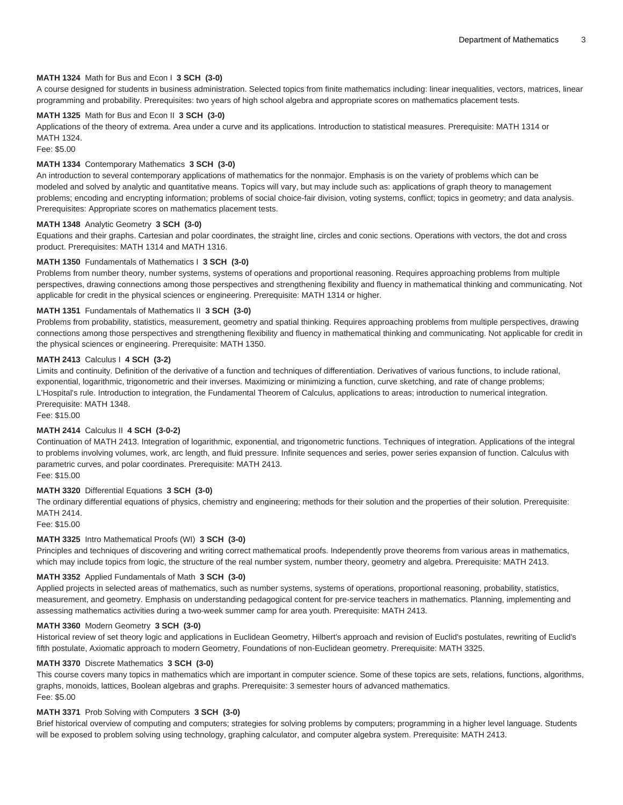#### **MATH 1324** Math for Bus and Econ I **3 SCH (3-0)**

A course designed for students in business administration. Selected topics from finite mathematics including: linear inequalities, vectors, matrices, linear programming and probability. Prerequisites: two years of high school algebra and appropriate scores on mathematics placement tests.

#### **MATH 1325** Math for Bus and Econ II **3 SCH (3-0)**

Applications of the theory of extrema. Area under a curve and its applications. Introduction to statistical measures. Prerequisite: MATH 1314 or MATH 1324.

Fee: \$5.00

#### **MATH 1334** Contemporary Mathematics **3 SCH (3-0)**

An introduction to several contemporary applications of mathematics for the nonmajor. Emphasis is on the variety of problems which can be modeled and solved by analytic and quantitative means. Topics will vary, but may include such as: applications of graph theory to management problems; encoding and encrypting information; problems of social choice-fair division, voting systems, conflict; topics in geometry; and data analysis. Prerequisites: Appropriate scores on mathematics placement tests.

#### **MATH 1348** Analytic Geometry **3 SCH (3-0)**

Equations and their graphs. Cartesian and polar coordinates, the straight line, circles and conic sections. Operations with vectors, the dot and cross product. Prerequisites: MATH 1314 and MATH 1316.

#### **MATH 1350** Fundamentals of Mathematics I **3 SCH (3-0)**

Problems from number theory, number systems, systems of operations and proportional reasoning. Requires approaching problems from multiple perspectives, drawing connections among those perspectives and strengthening flexibility and fluency in mathematical thinking and communicating. Not applicable for credit in the physical sciences or engineering. Prerequisite: MATH 1314 or higher.

#### **MATH 1351** Fundamentals of Mathematics II **3 SCH (3-0)**

Problems from probability, statistics, measurement, geometry and spatial thinking. Requires approaching problems from multiple perspectives, drawing connections among those perspectives and strengthening flexibility and fluency in mathematical thinking and communicating. Not applicable for credit in the physical sciences or engineering. Prerequisite: MATH 1350.

#### **MATH 2413** Calculus I **4 SCH (3-2)**

Limits and continuity. Definition of the derivative of a function and techniques of differentiation. Derivatives of various functions, to include rational, exponential, logarithmic, trigonometric and their inverses. Maximizing or minimizing a function, curve sketching, and rate of change problems; L'Hospital's rule. Introduction to integration, the Fundamental Theorem of Calculus, applications to areas; introduction to numerical integration. Prerequisite: MATH 1348.

Fee: \$15.00

#### **MATH 2414** Calculus II **4 SCH (3-0-2)**

Continuation of MATH 2413. Integration of logarithmic, exponential, and trigonometric functions. Techniques of integration. Applications of the integral to problems involving volumes, work, arc length, and fluid pressure. Infinite sequences and series, power series expansion of function. Calculus with parametric curves, and polar coordinates. Prerequisite: MATH 2413. Fee: \$15.00

#### **MATH 3320** Differential Equations **3 SCH (3-0)**

The ordinary differential equations of physics, chemistry and engineering; methods for their solution and the properties of their solution. Prerequisite: MATH 2414.

Fee: \$15.00

#### **MATH 3325** Intro Mathematical Proofs (WI) **3 SCH (3-0)**

Principles and techniques of discovering and writing correct mathematical proofs. Independently prove theorems from various areas in mathematics, which may include topics from logic, the structure of the real number system, number theory, geometry and algebra. Prerequisite: MATH 2413.

#### **MATH 3352** Applied Fundamentals of Math **3 SCH (3-0)**

Applied projects in selected areas of mathematics, such as number systems, systems of operations, proportional reasoning, probability, statistics, measurement, and geometry. Emphasis on understanding pedagogical content for pre-service teachers in mathematics. Planning, implementing and assessing mathematics activities during a two-week summer camp for area youth. Prerequisite: MATH 2413.

### **MATH 3360** Modern Geometry **3 SCH (3-0)**

Historical review of set theory logic and applications in Euclidean Geometry, Hilbert's approach and revision of Euclid's postulates, rewriting of Euclid's fifth postulate, Axiomatic approach to modern Geometry, Foundations of non-Euclidean geometry. Prerequisite: MATH 3325.

#### **MATH 3370** Discrete Mathematics **3 SCH (3-0)**

This course covers many topics in mathematics which are important in computer science. Some of these topics are sets, relations, functions, algorithms, graphs, monoids, lattices, Boolean algebras and graphs. Prerequisite: 3 semester hours of advanced mathematics. Fee: \$5.00

#### **MATH 3371** Prob Solving with Computers **3 SCH (3-0)**

Brief historical overview of computing and computers; strategies for solving problems by computers; programming in a higher level language. Students will be exposed to problem solving using technology, graphing calculator, and computer algebra system. Prerequisite: MATH 2413.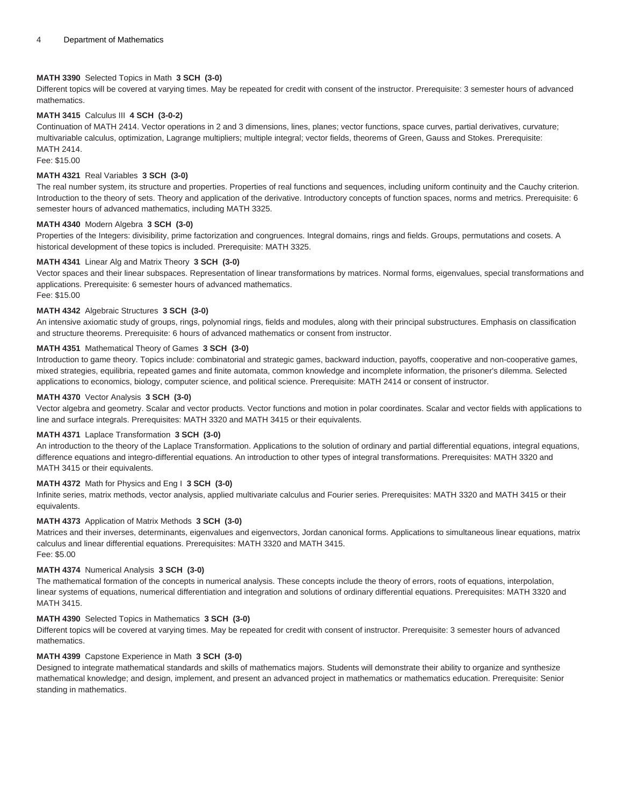#### **MATH 3390** Selected Topics in Math **3 SCH (3-0)**

Different topics will be covered at varying times. May be repeated for credit with consent of the instructor. Prerequisite: 3 semester hours of advanced mathematics.

#### **MATH 3415** Calculus III **4 SCH (3-0-2)**

Continuation of MATH 2414. Vector operations in 2 and 3 dimensions, lines, planes; vector functions, space curves, partial derivatives, curvature; multivariable calculus, optimization, Lagrange multipliers; multiple integral; vector fields, theorems of Green, Gauss and Stokes. Prerequisite: MATH 2414.

Fee: \$15.00

#### **MATH 4321** Real Variables **3 SCH (3-0)**

The real number system, its structure and properties. Properties of real functions and sequences, including uniform continuity and the Cauchy criterion. Introduction to the theory of sets. Theory and application of the derivative. Introductory concepts of function spaces, norms and metrics. Prerequisite: 6 semester hours of advanced mathematics, including MATH 3325.

#### **MATH 4340** Modern Algebra **3 SCH (3-0)**

Properties of the Integers: divisibility, prime factorization and congruences. Integral domains, rings and fields. Groups, permutations and cosets. A historical development of these topics is included. Prerequisite: MATH 3325.

#### **MATH 4341** Linear Alg and Matrix Theory **3 SCH (3-0)**

Vector spaces and their linear subspaces. Representation of linear transformations by matrices. Normal forms, eigenvalues, special transformations and applications. Prerequisite: 6 semester hours of advanced mathematics. Fee: \$15.00

#### **MATH 4342** Algebraic Structures **3 SCH (3-0)**

An intensive axiomatic study of groups, rings, polynomial rings, fields and modules, along with their principal substructures. Emphasis on classification and structure theorems. Prerequisite: 6 hours of advanced mathematics or consent from instructor.

#### **MATH 4351** Mathematical Theory of Games **3 SCH (3-0)**

Introduction to game theory. Topics include: combinatorial and strategic games, backward induction, payoffs, cooperative and non-cooperative games, mixed strategies, equilibria, repeated games and finite automata, common knowledge and incomplete information, the prisoner's dilemma. Selected applications to economics, biology, computer science, and political science. Prerequisite: MATH 2414 or consent of instructor.

#### **MATH 4370** Vector Analysis **3 SCH (3-0)**

Vector algebra and geometry. Scalar and vector products. Vector functions and motion in polar coordinates. Scalar and vector fields with applications to line and surface integrals. Prerequisites: MATH 3320 and MATH 3415 or their equivalents.

#### **MATH 4371** Laplace Transformation **3 SCH (3-0)**

An introduction to the theory of the Laplace Transformation. Applications to the solution of ordinary and partial differential equations, integral equations, difference equations and integro-differential equations. An introduction to other types of integral transformations. Prerequisites: MATH 3320 and MATH 3415 or their equivalents.

#### **MATH 4372** Math for Physics and Eng I **3 SCH (3-0)**

Infinite series, matrix methods, vector analysis, applied multivariate calculus and Fourier series. Prerequisites: MATH 3320 and MATH 3415 or their equivalents.

#### **MATH 4373** Application of Matrix Methods **3 SCH (3-0)**

Matrices and their inverses, determinants, eigenvalues and eigenvectors, Jordan canonical forms. Applications to simultaneous linear equations, matrix calculus and linear differential equations. Prerequisites: MATH 3320 and MATH 3415. Fee: \$5.00

#### **MATH 4374** Numerical Analysis **3 SCH (3-0)**

The mathematical formation of the concepts in numerical analysis. These concepts include the theory of errors, roots of equations, interpolation, linear systems of equations, numerical differentiation and integration and solutions of ordinary differential equations. Prerequisites: MATH 3320 and MATH 3415.

#### **MATH 4390** Selected Topics in Mathematics **3 SCH (3-0)**

Different topics will be covered at varying times. May be repeated for credit with consent of instructor. Prerequisite: 3 semester hours of advanced mathematics.

#### **MATH 4399** Capstone Experience in Math **3 SCH (3-0)**

Designed to integrate mathematical standards and skills of mathematics majors. Students will demonstrate their ability to organize and synthesize mathematical knowledge; and design, implement, and present an advanced project in mathematics or mathematics education. Prerequisite: Senior standing in mathematics.